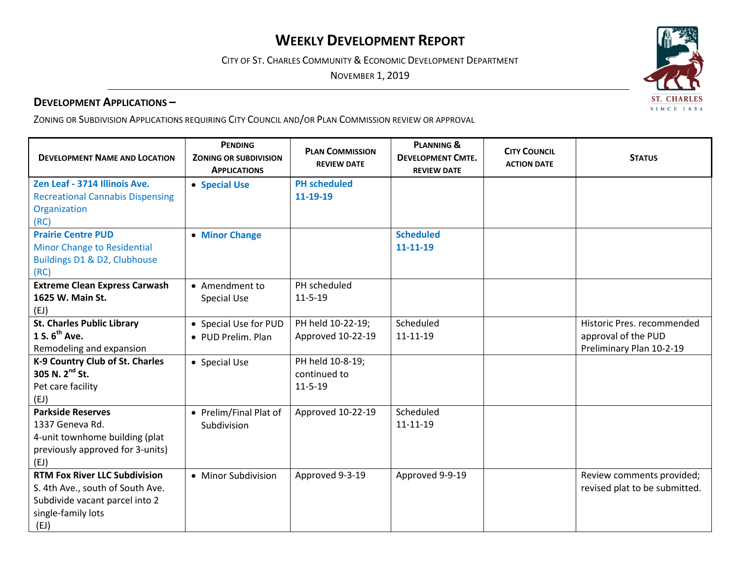# **WEEKLY DEVELOPMENT REPORT**

CITY OF ST. CHARLES COMMUNITY & ECONOMIC DEVELOPMENT DEPARTMENT

NOVEMBER 1, 2019

#### **DEVELOPMENT APPLICATIONS –**

ZONING OR SUBDIVISION APPLICATIONS REQUIRING CITY COUNCIL AND/OR PLAN COMMISSION REVIEW OR APPROVAL

| <b>DEVELOPMENT NAME AND LOCATION</b>    | <b>PENDING</b><br><b>ZONING OR SUBDIVISION</b><br><b>APPLICATIONS</b> | <b>PLAN COMMISSION</b><br><b>REVIEW DATE</b> | <b>PLANNING &amp;</b><br><b>DEVELOPMENT CMTE.</b><br><b>REVIEW DATE</b> | <b>CITY COUNCIL</b><br><b>ACTION DATE</b> | <b>STATUS</b>                 |
|-----------------------------------------|-----------------------------------------------------------------------|----------------------------------------------|-------------------------------------------------------------------------|-------------------------------------------|-------------------------------|
| Zen Leaf - 3714 Illinois Ave.           | • Special Use                                                         | <b>PH</b> scheduled                          |                                                                         |                                           |                               |
| <b>Recreational Cannabis Dispensing</b> |                                                                       | 11-19-19                                     |                                                                         |                                           |                               |
| Organization                            |                                                                       |                                              |                                                                         |                                           |                               |
| (RC)                                    |                                                                       |                                              |                                                                         |                                           |                               |
| <b>Prairie Centre PUD</b>               | • Minor Change                                                        |                                              | <b>Scheduled</b>                                                        |                                           |                               |
| <b>Minor Change to Residential</b>      |                                                                       |                                              | 11-11-19                                                                |                                           |                               |
| Buildings D1 & D2, Clubhouse            |                                                                       |                                              |                                                                         |                                           |                               |
| (RC)                                    |                                                                       |                                              |                                                                         |                                           |                               |
| <b>Extreme Clean Express Carwash</b>    | • Amendment to                                                        | PH scheduled                                 |                                                                         |                                           |                               |
| 1625 W. Main St.                        | <b>Special Use</b>                                                    | $11 - 5 - 19$                                |                                                                         |                                           |                               |
| (EJ)                                    |                                                                       |                                              |                                                                         |                                           |                               |
| <b>St. Charles Public Library</b>       | • Special Use for PUD                                                 | PH held 10-22-19;                            | Scheduled                                                               |                                           | Historic Pres. recommended    |
| 1 S. $6^{th}$ Ave.                      | • PUD Prelim. Plan                                                    | Approved 10-22-19                            | 11-11-19                                                                |                                           | approval of the PUD           |
| Remodeling and expansion                |                                                                       |                                              |                                                                         |                                           | Preliminary Plan 10-2-19      |
| K-9 Country Club of St. Charles         | • Special Use                                                         | PH held 10-8-19;                             |                                                                         |                                           |                               |
| 305 N. 2 <sup>nd</sup> St.              |                                                                       | continued to                                 |                                                                         |                                           |                               |
| Pet care facility                       |                                                                       | $11 - 5 - 19$                                |                                                                         |                                           |                               |
| (EJ)                                    |                                                                       |                                              |                                                                         |                                           |                               |
| <b>Parkside Reserves</b>                | • Prelim/Final Plat of                                                | Approved 10-22-19                            | Scheduled                                                               |                                           |                               |
| 1337 Geneva Rd.                         | Subdivision                                                           |                                              | 11-11-19                                                                |                                           |                               |
| 4-unit townhome building (plat          |                                                                       |                                              |                                                                         |                                           |                               |
| previously approved for 3-units)        |                                                                       |                                              |                                                                         |                                           |                               |
| (EJ)                                    |                                                                       |                                              |                                                                         |                                           |                               |
| <b>RTM Fox River LLC Subdivision</b>    | • Minor Subdivision                                                   | Approved 9-3-19                              | Approved 9-9-19                                                         |                                           | Review comments provided;     |
| S. 4th Ave., south of South Ave.        |                                                                       |                                              |                                                                         |                                           | revised plat to be submitted. |
| Subdivide vacant parcel into 2          |                                                                       |                                              |                                                                         |                                           |                               |
| single-family lots                      |                                                                       |                                              |                                                                         |                                           |                               |
| (EJ)                                    |                                                                       |                                              |                                                                         |                                           |                               |

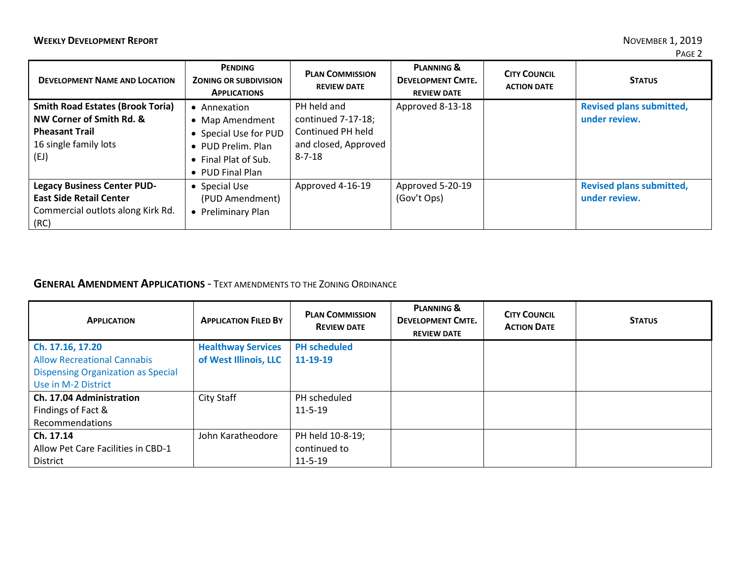| <b>DEVELOPMENT NAME AND LOCATION</b>                                                                                          | <b>PENDING</b><br><b>ZONING OR SUBDIVISION</b><br><b>APPLICATIONS</b>                                                      | <b>PLAN COMMISSION</b><br><b>REVIEW DATE</b>                                                   | <b>PLANNING &amp;</b><br><b>DEVELOPMENT CMTE.</b><br><b>REVIEW DATE</b> | <b>CITY COUNCIL</b><br><b>ACTION DATE</b> | <b>STATUS</b>                                    |
|-------------------------------------------------------------------------------------------------------------------------------|----------------------------------------------------------------------------------------------------------------------------|------------------------------------------------------------------------------------------------|-------------------------------------------------------------------------|-------------------------------------------|--------------------------------------------------|
| <b>Smith Road Estates (Brook Toria)</b><br>NW Corner of Smith Rd. &<br><b>Pheasant Trail</b><br>16 single family lots<br>(EJ) | • Annexation<br>• Map Amendment<br>• Special Use for PUD<br>• PUD Prelim. Plan<br>• Final Plat of Sub.<br>• PUD Final Plan | PH held and<br>continued 7-17-18;<br>Continued PH held<br>and closed, Approved<br>$8 - 7 - 18$ | Approved 8-13-18                                                        |                                           | <b>Revised plans submitted,</b><br>under review. |
| <b>Legacy Business Center PUD-</b><br><b>East Side Retail Center</b><br>Commercial outlots along Kirk Rd.<br>(RC)             | • Special Use<br>(PUD Amendment)<br>• Preliminary Plan                                                                     | Approved 4-16-19                                                                               | Approved 5-20-19<br>(Gov't Ops)                                         |                                           | <b>Revised plans submitted,</b><br>under review. |

# **GENERAL AMENDMENT APPLICATIONS** - TEXT AMENDMENTS TO THE ZONING ORDINANCE

| <b>APPLICATION</b>                        | <b>APPLICATION FILED BY</b> | <b>PLAN COMMISSION</b><br><b>REVIEW DATE</b> | <b>PLANNING &amp;</b><br><b>DEVELOPMENT CMTE.</b><br><b>REVIEW DATE</b> | <b>CITY COUNCIL</b><br><b>ACTION DATE</b> | <b>STATUS</b> |
|-------------------------------------------|-----------------------------|----------------------------------------------|-------------------------------------------------------------------------|-------------------------------------------|---------------|
| Ch. 17.16, 17.20                          | <b>Healthway Services</b>   | <b>PH</b> scheduled                          |                                                                         |                                           |               |
| <b>Allow Recreational Cannabis</b>        | of West Illinois, LLC       | 11-19-19                                     |                                                                         |                                           |               |
| <b>Dispensing Organization as Special</b> |                             |                                              |                                                                         |                                           |               |
| Use in M-2 District                       |                             |                                              |                                                                         |                                           |               |
| Ch. 17.04 Administration                  | City Staff                  | PH scheduled                                 |                                                                         |                                           |               |
| Findings of Fact &                        |                             | $11 - 5 - 19$                                |                                                                         |                                           |               |
| Recommendations                           |                             |                                              |                                                                         |                                           |               |
| Ch. 17.14                                 | John Karatheodore           | PH held 10-8-19;                             |                                                                         |                                           |               |
| Allow Pet Care Facilities in CBD-1        |                             | continued to                                 |                                                                         |                                           |               |
| <b>District</b>                           |                             | $11 - 5 - 19$                                |                                                                         |                                           |               |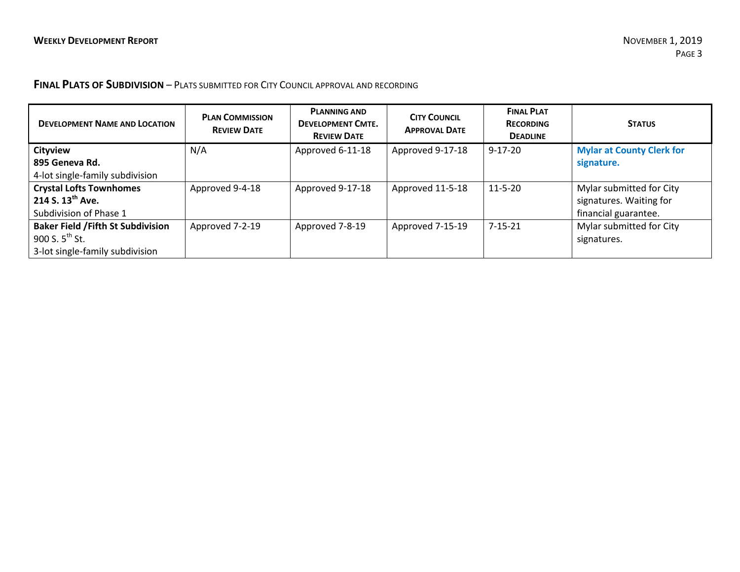## **FINAL PLATS OF SUBDIVISION** – PLATS SUBMITTED FOR CITY COUNCIL APPROVAL AND RECORDING

| <b>DEVELOPMENT NAME AND LOCATION</b>      | <b>PLAN COMMISSION</b><br><b>REVIEW DATE</b> | <b>PLANNING AND</b><br><b>DEVELOPMENT CMTE.</b><br><b>REVIEW DATE</b> | <b>CITY COUNCIL</b><br><b>APPROVAL DATE</b> | <b>FINAL PLAT</b><br><b>RECORDING</b><br><b>DEADLINE</b> | <b>STATUS</b>                    |
|-------------------------------------------|----------------------------------------------|-----------------------------------------------------------------------|---------------------------------------------|----------------------------------------------------------|----------------------------------|
| <b>Cityview</b>                           | N/A                                          | Approved 6-11-18                                                      | Approved 9-17-18                            | $9 - 17 - 20$                                            | <b>Mylar at County Clerk for</b> |
| 895 Geneva Rd.                            |                                              |                                                                       |                                             |                                                          | signature.                       |
| 4-lot single-family subdivision           |                                              |                                                                       |                                             |                                                          |                                  |
| <b>Crystal Lofts Townhomes</b>            | Approved 9-4-18                              | Approved 9-17-18                                                      | Approved 11-5-18                            | $11 - 5 - 20$                                            | Mylar submitted for City         |
| 214 S. $13^{th}$ Ave.                     |                                              |                                                                       |                                             |                                                          | signatures. Waiting for          |
| Subdivision of Phase 1                    |                                              |                                                                       |                                             |                                                          | financial guarantee.             |
| <b>Baker Field / Fifth St Subdivision</b> | Approved 7-2-19                              | Approved 7-8-19                                                       | Approved 7-15-19                            | $7 - 15 - 21$                                            | Mylar submitted for City         |
| 900 S. $5^{th}$ St.                       |                                              |                                                                       |                                             |                                                          | signatures.                      |
| 3-lot single-family subdivision           |                                              |                                                                       |                                             |                                                          |                                  |